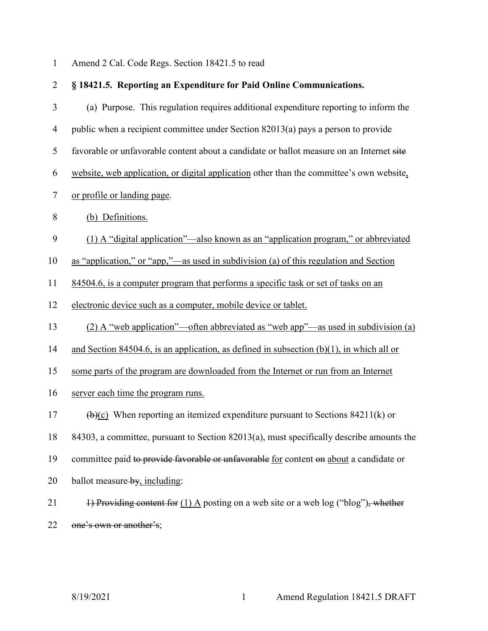1 Amend 2 Cal. Code Regs. Section 18421.5 to read

| $\overline{2}$ | § 18421.5. Reporting an Expenditure for Paid Online Communications.                                |
|----------------|----------------------------------------------------------------------------------------------------|
| 3              | (a) Purpose. This regulation requires additional expenditure reporting to inform the               |
| $\overline{4}$ | public when a recipient committee under Section 82013(a) pays a person to provide                  |
| 5              | favorable or unfavorable content about a candidate or ballot measure on an Internet site           |
| 6              | website, web application, or digital application other than the committee's own website,           |
| $\tau$         | or profile or landing page.                                                                        |
| 8              | (b) Definitions.                                                                                   |
| 9              | (1) A "digital application"—also known as an "application program," or abbreviated                 |
| 10             | as "application," or "app,"—as used in subdivision (a) of this regulation and Section              |
| 11             | 84504.6, is a computer program that performs a specific task or set of tasks on an                 |
| 12             | electronic device such as a computer, mobile device or tablet.                                     |
| 13             | (2) A "web application"—often abbreviated as "web app"—as used in subdivision (a)                  |
| 14             | and Section 84504.6, is an application, as defined in subsection $(b)(1)$ , in which all or        |
| 15             | some parts of the program are downloaded from the Internet or run from an Internet                 |
| 16             | server each time the program runs.                                                                 |
| 17             | $\left(\frac{b}{c}\right)$ When reporting an itemized expenditure pursuant to Sections 84211(k) or |
| 18             | 84303, a committee, pursuant to Section 82013(a), must specifically describe amounts the           |
| 19             | committee paid to provide favorable or unfavorable for content on about a candidate or             |
| 20             | ballot measure-by, including:                                                                      |
| 21             | 1) Providing content for $(1)$ A posting on a web site or a web log ("blog"), whether              |
| 22             | one's own or another's:                                                                            |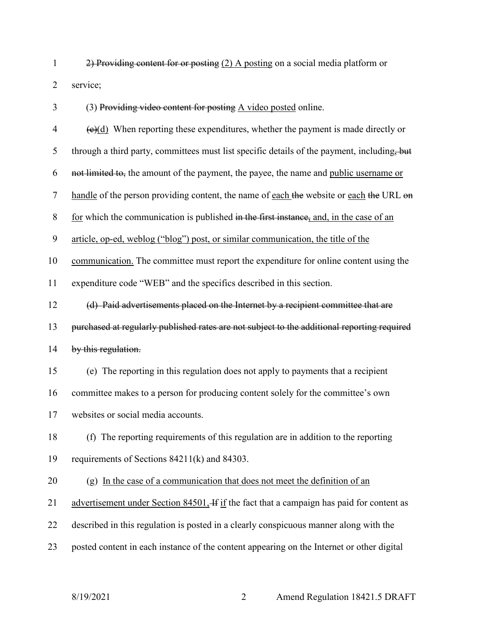2) Providing content for or posting (2) A posting on a social media platform or service;

(3) Providing video content for posting A video posted online.

| $\overline{4}$ | $\left(\frac{e}{d}\right)$ When reporting these expenditures, whether the payment is made directly or |
|----------------|-------------------------------------------------------------------------------------------------------|
| 5              | through a third party, committees must list specific details of the payment, including, but           |
| 6              | not limited to, the amount of the payment, the payee, the name and public username or                 |
| $\tau$         | handle of the person providing content, the name of each the website or each the URL on               |
| $8\,$          | for which the communication is published in the first instance, and, in the case of an                |
| 9              | article, op-ed, weblog ("blog") post, or similar communication, the title of the                      |
| 10             | communication. The committee must report the expenditure for online content using the                 |
| 11             | expenditure code "WEB" and the specifics described in this section.                                   |
| 12             | (d) Paid advertisements placed on the Internet by a recipient committee that are                      |
| 13             | purchased at regularly published rates are not subject to the additional reporting required           |
| 14             | by this regulation.                                                                                   |
| 15             | (e) The reporting in this regulation does not apply to payments that a recipient                      |
| 16             | committee makes to a person for producing content solely for the committee's own                      |
| 17             | websites or social media accounts.                                                                    |
| 18             | (f) The reporting requirements of this regulation are in addition to the reporting                    |
| 19             | requirements of Sections 84211(k) and 84303.                                                          |
| 20             | (g) In the case of a communication that does not meet the definition of an                            |
| 21             | advertisement under Section 84501, If if the fact that a campaign has paid for content as             |
| 22             | described in this regulation is posted in a clearly conspicuous manner along with the                 |
| 23             | posted content in each instance of the content appearing on the Internet or other digital             |